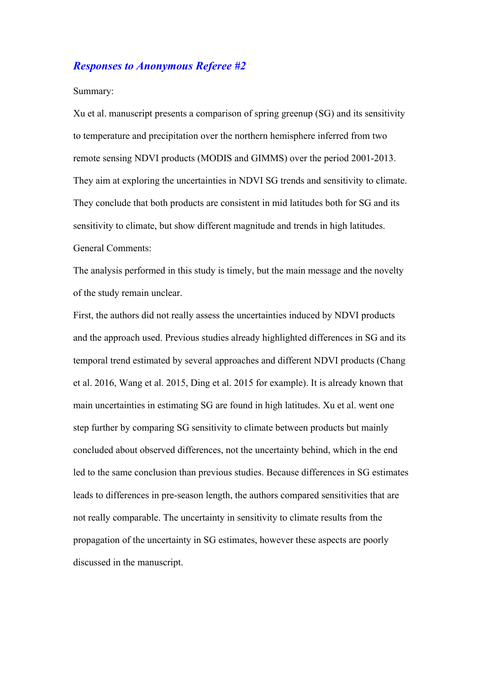# *Responses to Anonymous Referee #2*

### Summary:

Xu et al. manuscript presents a comparison of spring greenup (SG) and its sensitivity to temperature and precipitation over the northern hemisphere inferred from two remote sensing NDVI products (MODIS and GIMMS) over the period 2001-2013. They aim at exploring the uncertainties in NDVI SG trends and sensitivity to climate. They conclude that both products are consistent in mid latitudes both for SG and its sensitivity to climate, but show different magnitude and trends in high latitudes. General Comments:

The analysis performed in this study is timely, but the main message and the novelty of the study remain unclear.

First, the authors did not really assess the uncertainties induced by NDVI products and the approach used. Previous studies already highlighted differences in SG and its temporal trend estimated by several approaches and different NDVI products (Chang et al. 2016, Wang et al. 2015, Ding et al. 2015 for example). It is already known that main uncertainties in estimating SG are found in high latitudes. Xu et al. went one step further by comparing SG sensitivity to climate between products but mainly concluded about observed differences, not the uncertainty behind, which in the end led to the same conclusion than previous studies. Because differences in SG estimates leads to differences in pre-season length, the authors compared sensitivities that are not really comparable. The uncertainty in sensitivity to climate results from the propagation of the uncertainty in SG estimates, however these aspects are poorly discussed in the manuscript.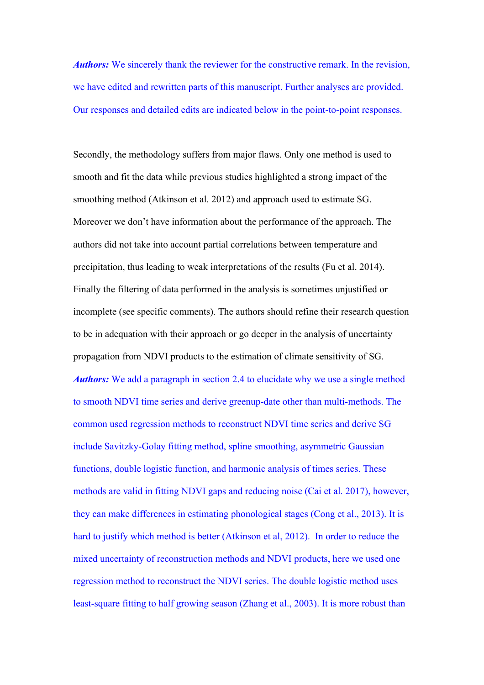*Authors:* We sincerely thank the reviewer for the constructive remark. In the revision, we have edited and rewritten parts of this manuscript. Further analyses are provided. Our responses and detailed edits are indicated below in the point-to-point responses.

Secondly, the methodology suffers from major flaws. Only one method is used to smooth and fit the data while previous studies highlighted a strong impact of the smoothing method (Atkinson et al. 2012) and approach used to estimate SG. Moreover we don't have information about the performance of the approach. The authors did not take into account partial correlations between temperature and precipitation, thus leading to weak interpretations of the results (Fu et al. 2014). Finally the filtering of data performed in the analysis is sometimes unjustified or incomplete (see specific comments). The authors should refine their research question to be in adequation with their approach or go deeper in the analysis of uncertainty propagation from NDVI products to the estimation of climate sensitivity of SG. *Authors:* We add a paragraph in section 2.4 to elucidate why we use a single method to smooth NDVI time series and derive greenup-date other than multi-methods. The common used regression methods to reconstruct NDVI time series and derive SG include Savitzky-Golay fitting method, spline smoothing, asymmetric Gaussian functions, double logistic function, and harmonic analysis of times series. These methods are valid in fitting NDVI gaps and reducing noise (Cai et al. 2017), however, they can make differences in estimating phonological stages (Cong et al., 2013). It is hard to justify which method is better (Atkinson et al, 2012). In order to reduce the mixed uncertainty of reconstruction methods and NDVI products, here we used one regression method to reconstruct the NDVI series. The double logistic method uses least-square fitting to half growing season (Zhang et al., 2003). It is more robust than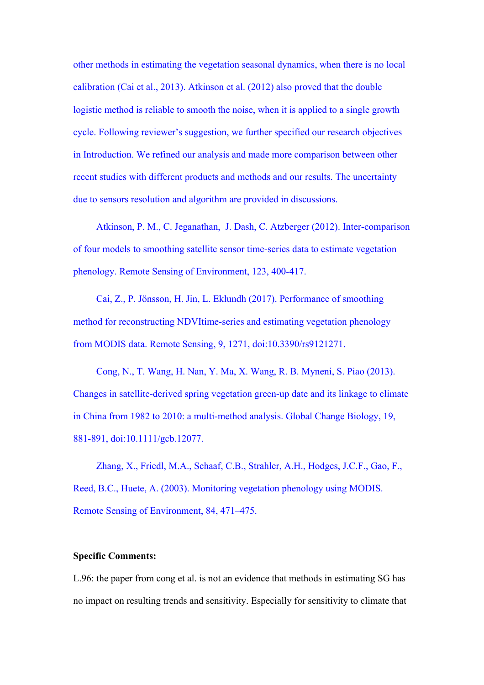other methods in estimating the vegetation seasonal dynamics, when there is no local calibration (Cai et al., 2013). Atkinson et al. (2012) also proved that the double logistic method is reliable to smooth the noise, when it is applied to a single growth cycle. Following reviewer's suggestion, we further specified our research objectives in Introduction. We refined our analysis and made more comparison between other recent studies with different products and methods and our results. The uncertainty due to sensors resolution and algorithm are provided in discussions.

Atkinson, P. M., C. Jeganathan, J. Dash, C. Atzberger (2012). Inter-comparison of four models to smoothing satellite sensor time-series data to estimate vegetation phenology. Remote Sensing of Environment, 123, 400-417.

Cai, Z., P. Jönsson, H. Jin, L. Eklundh (2017). Performance of smoothing method for reconstructing NDVItime-series and estimating vegetation phenology from MODIS data. Remote Sensing, 9, 1271, doi:10.3390/rs9121271.

Cong, N., T. Wang, H. Nan, Y. Ma, X. Wang, R. B. Myneni, S. Piao (2013). Changes in satellite-derived spring vegetation green-up date and its linkage to climate in China from 1982 to 2010: a multi-method analysis. Global Change Biology, 19, 881-891, doi:10.1111/gcb.12077.

Zhang, X., Friedl, M.A., Schaaf, C.B., Strahler, A.H., Hodges, J.C.F., Gao, F., Reed, B.C., Huete, A. (2003). Monitoring vegetation phenology using MODIS. Remote Sensing of Environment, 84, 471–475.

## **Specific Comments:**

L.96: the paper from cong et al. is not an evidence that methods in estimating SG has no impact on resulting trends and sensitivity. Especially for sensitivity to climate that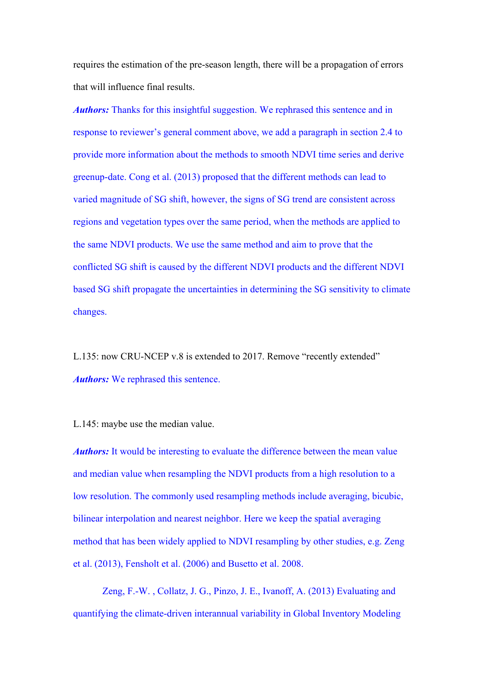requires the estimation of the pre-season length, there will be a propagation of errors that will influence final results.

*Authors:* Thanks for this insightful suggestion. We rephrased this sentence and in response to reviewer's general comment above, we add a paragraph in section 2.4 to provide more information about the methods to smooth NDVI time series and derive greenup-date. Cong et al. (2013) proposed that the different methods can lead to varied magnitude of SG shift, however, the signs of SG trend are consistent across regions and vegetation types over the same period, when the methods are applied to the same NDVI products. We use the same method and aim to prove that the conflicted SG shift is caused by the different NDVI products and the different NDVI based SG shift propagate the uncertainties in determining the SG sensitivity to climate changes.

L.135: now CRU-NCEP v.8 is extended to 2017. Remove "recently extended" *Authors:* We rephrased this sentence.

L.145: maybe use the median value.

*Authors:* It would be interesting to evaluate the difference between the mean value and median value when resampling the NDVI products from a high resolution to a low resolution. The commonly used resampling methods include averaging, bicubic, bilinear interpolation and nearest neighbor. Here we keep the spatial averaging method that has been widely applied to NDVI resampling by other studies, e.g. Zeng et al. (2013), Fensholt et al. (2006) and Busetto et al. 2008.

Zeng, F.-W. , Collatz, J. G., Pinzo, J. E., Ivanoff, A. (2013) Evaluating and quantifying the climate-driven interannual variability in Global Inventory Modeling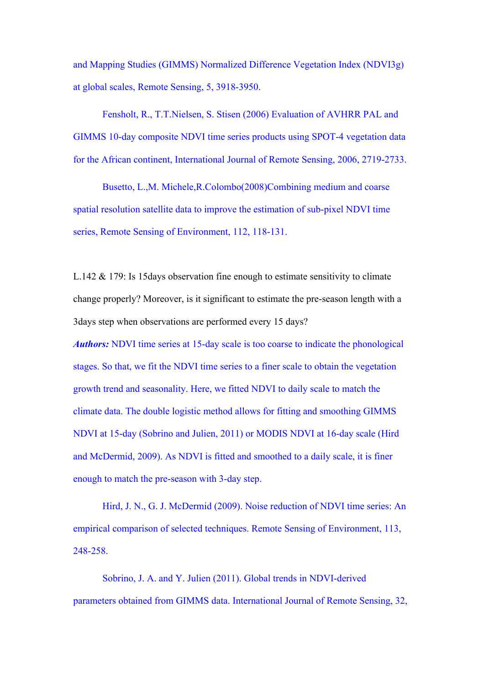and Mapping Studies (GIMMS) Normalized Difference Vegetation Index (NDVI3g) at global scales, Remote Sensing, 5, 3918-3950.

Fensholt, R., T.T.Nielsen, S. Stisen (2006) Evaluation of AVHRR PAL and GIMMS 10-day composite NDVI time series products using SPOT-4 vegetation data for the African continent, International Journal of Remote Sensing, 2006, 2719-2733.

Busetto, L.,M. Michele,R.Colombo(2008)Combining medium and coarse spatial resolution satellite data to improve the estimation of sub-pixel NDVI time series, Remote Sensing of Environment, 112, 118-131.

L.142 & 179: Is 15days observation fine enough to estimate sensitivity to climate change properly? Moreover, is it significant to estimate the pre-season length with a 3days step when observations are performed every 15 days?

*Authors:* NDVI time series at 15-day scale is too coarse to indicate the phonological stages. So that, we fit the NDVI time series to a finer scale to obtain the vegetation growth trend and seasonality. Here, we fitted NDVI to daily scale to match the climate data. The double logistic method allows for fitting and smoothing GIMMS NDVI at 15-day (Sobrino and Julien, 2011) or MODIS NDVI at 16-day scale (Hird and McDermid, 2009). As NDVI is fitted and smoothed to a daily scale, it is finer enough to match the pre-season with 3-day step.

Hird, J. N., G. J. McDermid (2009). Noise reduction of NDVI time series: An empirical comparison of selected techniques. Remote Sensing of Environment, 113, 248-258.

Sobrino, J. A. and Y. Julien (2011). Global trends in NDVI-derived parameters obtained from GIMMS data. International Journal of Remote Sensing, 32,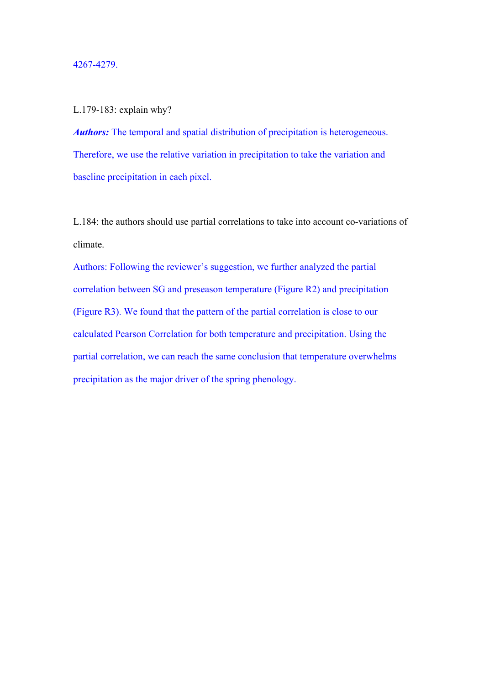### 4267-4279.

## L.179-183: explain why?

*Authors:* The temporal and spatial distribution of precipitation is heterogeneous. Therefore, we use the relative variation in precipitation to take the variation and baseline precipitation in each pixel.

L.184: the authors should use partial correlations to take into account co-variations of climate.

Authors: Following the reviewer's suggestion, we further analyzed the partial correlation between SG and preseason temperature (Figure R2) and precipitation (Figure R3). We found that the pattern of the partial correlation is close to our calculated Pearson Correlation for both temperature and precipitation. Using the partial correlation, we can reach the same conclusion that temperature overwhelms precipitation as the major driver of the spring phenology.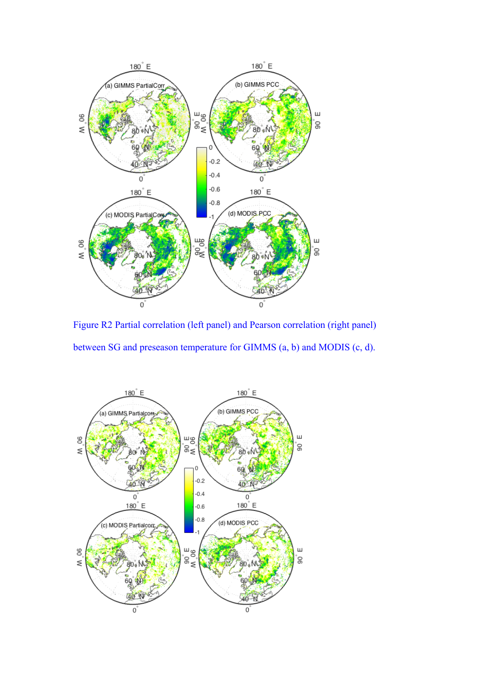

Figure R2 Partial correlation (left panel) and Pearson correlation (right panel) between SG and preseason temperature for GIMMS (a, b) and MODIS (c, d).

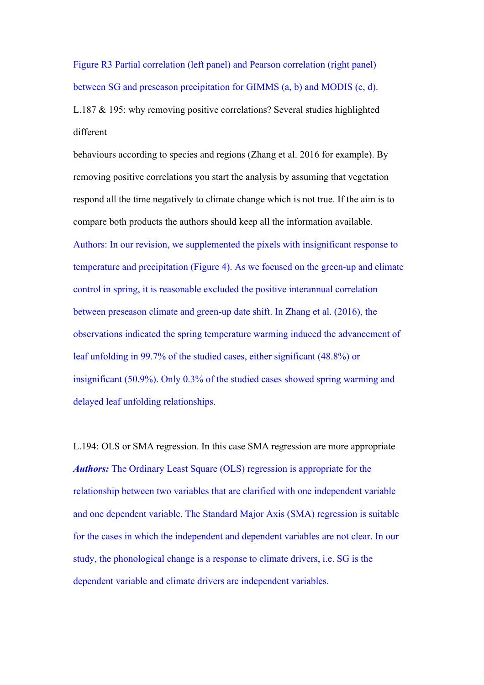Figure R3 Partial correlation (left panel) and Pearson correlation (right panel) between SG and preseason precipitation for GIMMS (a, b) and MODIS (c, d).

L.187 & 195: why removing positive correlations? Several studies highlighted different

behaviours according to species and regions (Zhang et al. 2016 for example). By removing positive correlations you start the analysis by assuming that vegetation respond all the time negatively to climate change which is not true. If the aim is to compare both products the authors should keep all the information available. Authors: In our revision, we supplemented the pixels with insignificant response to temperature and precipitation (Figure 4). As we focused on the green-up and climate control in spring, it is reasonable excluded the positive interannual correlation between preseason climate and green-up date shift. In Zhang et al. (2016), the observations indicated the spring temperature warming induced the advancement of leaf unfolding in 99.7% of the studied cases, either significant (48.8%) or insignificant (50.9%). Only 0.3% of the studied cases showed spring warming and delayed leaf unfolding relationships.

L.194: OLS or SMA regression. In this case SMA regression are more appropriate *Authors:* The Ordinary Least Square (OLS) regression is appropriate for the relationship between two variables that are clarified with one independent variable and one dependent variable. The Standard Major Axis (SMA) regression is suitable for the cases in which the independent and dependent variables are not clear. In our study, the phonological change is a response to climate drivers, i.e. SG is the dependent variable and climate drivers are independent variables.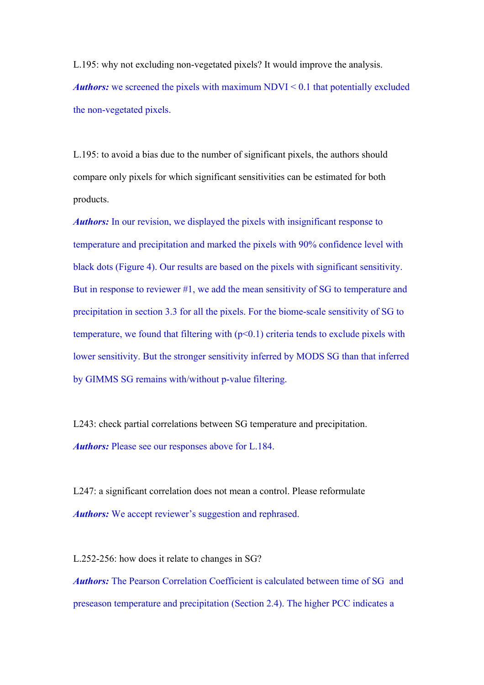L.195: why not excluding non-vegetated pixels? It would improve the analysis. *Authors:* we screened the pixels with maximum NDVI < 0.1 that potentially excluded the non-vegetated pixels.

L.195: to avoid a bias due to the number of significant pixels, the authors should compare only pixels for which significant sensitivities can be estimated for both products.

*Authors:* In our revision, we displayed the pixels with insignificant response to temperature and precipitation and marked the pixels with 90% confidence level with black dots (Figure 4). Our results are based on the pixels with significant sensitivity. But in response to reviewer #1, we add the mean sensitivity of SG to temperature and precipitation in section 3.3 for all the pixels. For the biome-scale sensitivity of SG to temperature, we found that filtering with  $(p<0.1)$  criteria tends to exclude pixels with lower sensitivity. But the stronger sensitivity inferred by MODS SG than that inferred by GIMMS SG remains with/without p-value filtering.

L243: check partial correlations between SG temperature and precipitation. *Authors:* Please see our responses above for L.184.

L247: a significant correlation does not mean a control. Please reformulate *Authors:* We accept reviewer's suggestion and rephrased.

L.252-256: how does it relate to changes in SG? *Authors:* The Pearson Correlation Coefficient is calculated between time of SG and preseason temperature and precipitation (Section 2.4). The higher PCC indicates a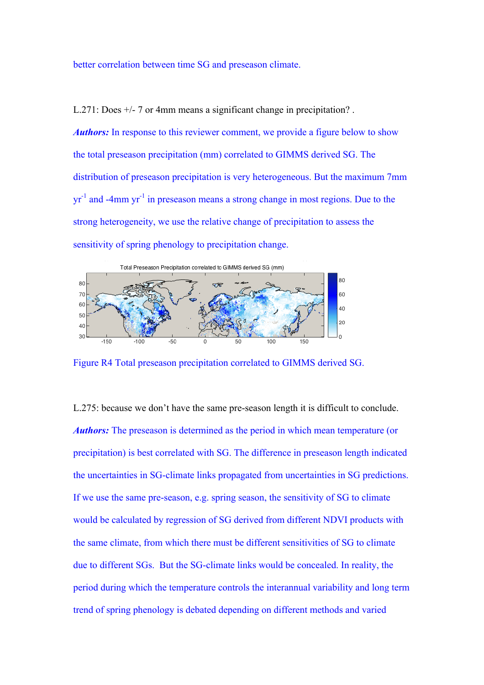better correlation between time SG and preseason climate.

L.271: Does  $+/-$  7 or 4mm means a significant change in precipitation?.

*Authors:* In response to this reviewer comment, we provide a figure below to show the total preseason precipitation (mm) correlated to GIMMS derived SG. The distribution of preseason precipitation is very heterogeneous. But the maximum 7mm  $yr^{-1}$  and -4mm  $yr^{-1}$  in preseason means a strong change in most regions. Due to the strong heterogeneity, we use the relative change of precipitation to assess the sensitivity of spring phenology to precipitation change.



Figure R4 Total preseason precipitation correlated to GIMMS derived SG.

L.275: because we don't have the same pre-season length it is difficult to conclude. *Authors:* The preseason is determined as the period in which mean temperature (or precipitation) is best correlated with SG. The difference in preseason length indicated the uncertainties in SG-climate links propagated from uncertainties in SG predictions. If we use the same pre-season, e.g. spring season, the sensitivity of SG to climate would be calculated by regression of SG derived from different NDVI products with the same climate, from which there must be different sensitivities of SG to climate due to different SGs. But the SG-climate links would be concealed. In reality, the period during which the temperature controls the interannual variability and long term trend of spring phenology is debated depending on different methods and varied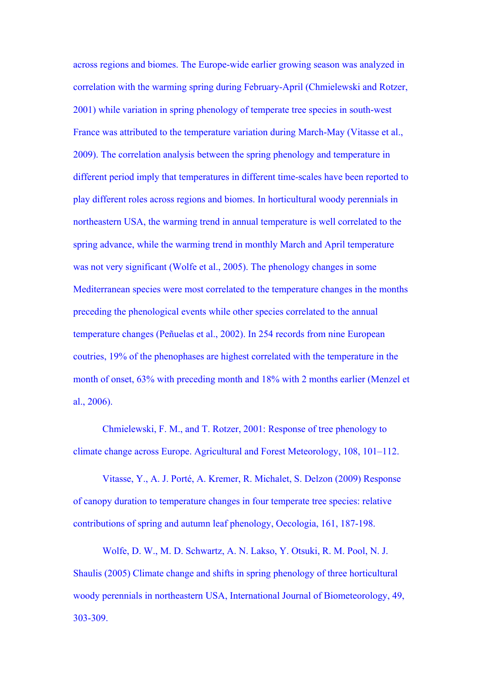across regions and biomes. The Europe-wide earlier growing season was analyzed in correlation with the warming spring during February-April (Chmielewski and Rotzer, 2001) while variation in spring phenology of temperate tree species in south-west France was attributed to the temperature variation during March-May (Vitasse et al., 2009). The correlation analysis between the spring phenology and temperature in different period imply that temperatures in different time-scales have been reported to play different roles across regions and biomes. In horticultural woody perennials in northeastern USA, the warming trend in annual temperature is well correlated to the spring advance, while the warming trend in monthly March and April temperature was not very significant (Wolfe et al., 2005). The phenology changes in some Mediterranean species were most correlated to the temperature changes in the months preceding the phenological events while other species correlated to the annual temperature changes (Peñuelas et al., 2002). In 254 records from nine European coutries, 19% of the phenophases are highest correlated with the temperature in the month of onset, 63% with preceding month and 18% with 2 months earlier (Menzel et al., 2006).

Chmielewski, F. M., and T. Rotzer, 2001: Response of tree phenology to climate change across Europe. Agricultural and Forest Meteorology, 108, 101–112.

Vitasse, Y., A. J. Porté, A. Kremer, R. Michalet, S. Delzon (2009) Response of canopy duration to temperature changes in four temperate tree species: relative contributions of spring and autumn leaf phenology, Oecologia, 161, 187-198.

Wolfe, D. W., M. D. Schwartz, A. N. Lakso, Y. Otsuki, R. M. Pool, N. J. Shaulis (2005) Climate change and shifts in spring phenology of three horticultural woody perennials in northeastern USA, International Journal of Biometeorology, 49, 303-309.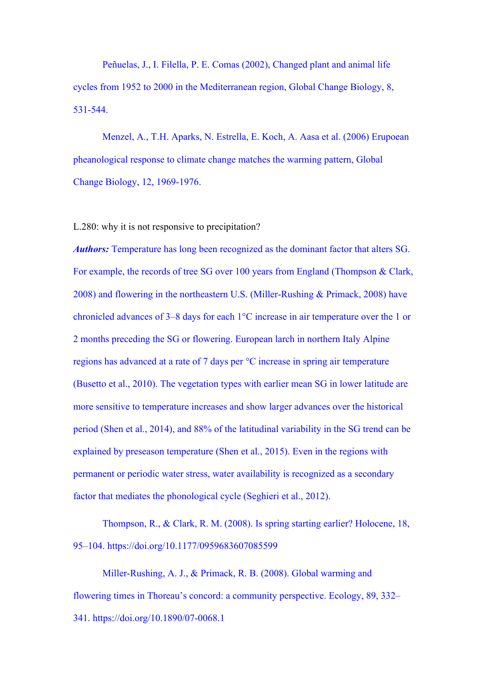Peñuelas, J., I. Filella, P. E. Comas (2002), Changed plant and animal life cycles from 1952 to 2000 in the Mediterranean region, Global Change Biology, 8, 531-544.

Menzel, A., T.H. Aparks, N. Estrella, E. Koch, A. Aasa et al. (2006) Erupoean pheanological response to climate change matches the warming pattern, Global Change Biology, 12, 1969-1976.

L.280: why it is not responsive to precipitation?

*Authors:* Temperature has long been recognized as the dominant factor that alters SG. For example, the records of tree SG over 100 years from England (Thompson & Clark, 2008) and flowering in the northeastern U.S. (Miller-Rushing & Primack, 2008) have chronicled advances of 3–8 days for each 1°C increase in air temperature over the 1 or 2 months preceding the SG or flowering. European larch in northern Italy Alpine regions has advanced at a rate of 7 days per °C increase in spring air temperature (Busetto et al., 2010). The vegetation types with earlier mean SG in lower latitude are more sensitive to temperature increases and show larger advances over the historical period (Shen et al., 2014), and 88% of the latitudinal variability in the SG trend can be explained by preseason temperature (Shen et al., 2015). Even in the regions with permanent or periodic water stress, water availability is recognized as a secondary factor that mediates the phonological cycle (Seghieri et al., 2012).

Thompson, R., & Clark, R. M. (2008). Is spring starting earlier? Holocene, 18, 95–104. https://doi.org/10.1177/0959683607085599

Miller-Rushing, A. J., & Primack, R. B. (2008). Global warming and flowering times in Thoreau's concord: a community perspective. Ecology, 89, 332– 341. https://doi.org/10.1890/07-0068.1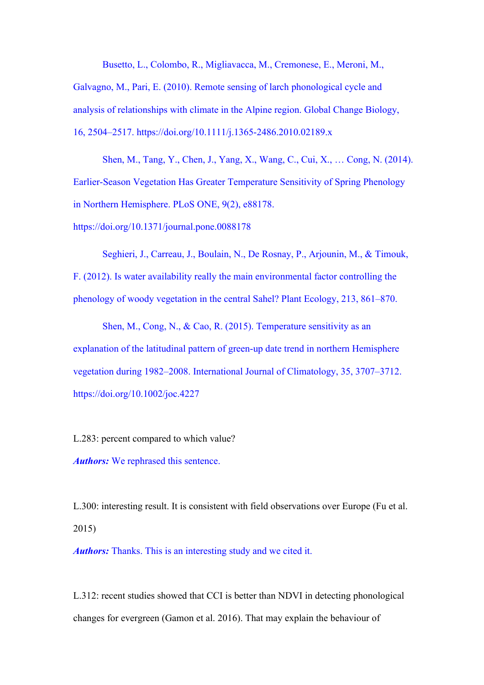Busetto, L., Colombo, R., Migliavacca, M., Cremonese, E., Meroni, M., Galvagno, M., Pari, E. (2010). Remote sensing of larch phonological cycle and analysis of relationships with climate in the Alpine region. Global Change Biology, 16, 2504–2517. https://doi.org/10.1111/j.1365-2486.2010.02189.x

Shen, M., Tang, Y., Chen, J., Yang, X., Wang, C., Cui, X., … Cong, N. (2014). Earlier-Season Vegetation Has Greater Temperature Sensitivity of Spring Phenology in Northern Hemisphere. PLoS ONE, 9(2), e88178.

https://doi.org/10.1371/journal.pone.0088178

Seghieri, J., Carreau, J., Boulain, N., De Rosnay, P., Arjounin, M., & Timouk, F. (2012). Is water availability really the main environmental factor controlling the phenology of woody vegetation in the central Sahel? Plant Ecology, 213, 861–870.

Shen, M., Cong, N., & Cao, R. (2015). Temperature sensitivity as an explanation of the latitudinal pattern of green-up date trend in northern Hemisphere vegetation during 1982–2008. International Journal of Climatology, 35, 3707–3712. https://doi.org/10.1002/joc.4227

L.283: percent compared to which value? *Authors:* We rephrased this sentence.

L.300: interesting result. It is consistent with field observations over Europe (Fu et al. 2015)

*Authors:* Thanks. This is an interesting study and we cited it.

L.312: recent studies showed that CCI is better than NDVI in detecting phonological changes for evergreen (Gamon et al. 2016). That may explain the behaviour of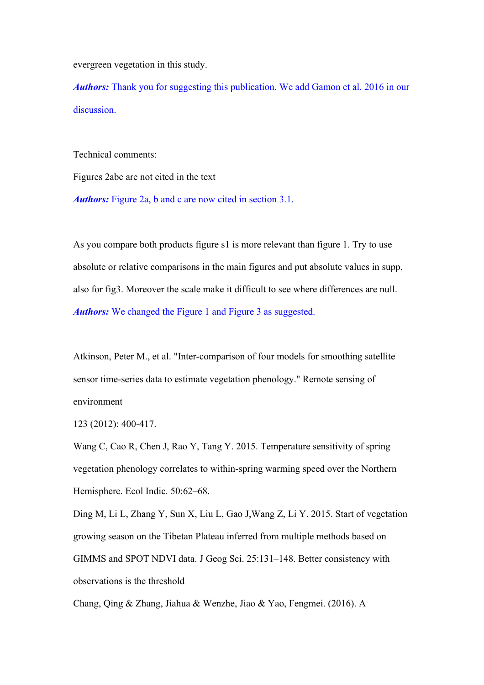evergreen vegetation in this study.

*Authors:* Thank you for suggesting this publication. We add Gamon et al. 2016 in our discussion.

Technical comments:

Figures 2abc are not cited in the text

*Authors:* Figure 2a, b and c are now cited in section 3.1.

As you compare both products figure s1 is more relevant than figure 1. Try to use absolute or relative comparisons in the main figures and put absolute values in supp, also for fig3. Moreover the scale make it difficult to see where differences are null. *Authors:* We changed the Figure 1 and Figure 3 as suggested.

Atkinson, Peter M., et al. "Inter-comparison of four models for smoothing satellite sensor time-series data to estimate vegetation phenology." Remote sensing of environment

123 (2012): 400-417.

Wang C, Cao R, Chen J, Rao Y, Tang Y. 2015. Temperature sensitivity of spring vegetation phenology correlates to within-spring warming speed over the Northern Hemisphere. Ecol Indic. 50:62–68.

Ding M, Li L, Zhang Y, Sun X, Liu L, Gao J,Wang Z, Li Y. 2015. Start of vegetation growing season on the Tibetan Plateau inferred from multiple methods based on GIMMS and SPOT NDVI data. J Geog Sci. 25:131–148. Better consistency with observations is the threshold

Chang, Qing & Zhang, Jiahua & Wenzhe, Jiao & Yao, Fengmei. (2016). A